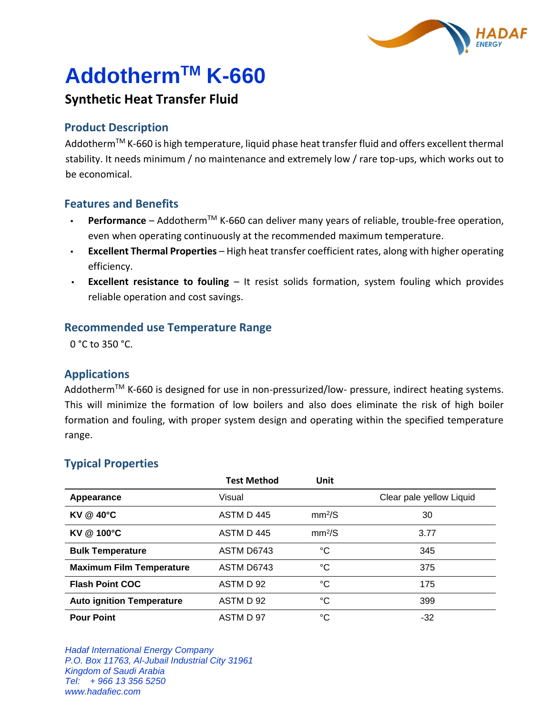

# **AddothermTM K-660**

# **Synthetic Heat Transfer Fluid**

#### **Product Description**

Addotherm<sup>™</sup> K-660 is high temperature, liquid phase heat transfer fluid and offers excellent thermal stability. It needs minimum / no maintenance and extremely low / rare top-ups, which works out to be economical.

#### **Features and Benefits**

- **Performance** Addotherm™ K-660 can deliver many years of reliable, trouble-free operation, even when operating continuously at the recommended maximum temperature.
- **Excellent Thermal Properties** High heat transfer coefficient rates, along with higher operating efficiency.
- **Excellent resistance to fouling** It resist solids formation, system fouling which provides reliable operation and cost savings.

## **Recommended use Temperature Range**

0 °C to 350 °C.

#### **Applications**

Addotherm<sup>™</sup> K-660 is designed for use in non-pressurized/low- pressure, indirect heating systems. This will minimize the formation of low boilers and also does eliminate the risk of high boiler formation and fouling, with proper system design and operating within the specified temperature range.

## **Typical Properties**

|                                  | <b>Test Method</b> | Unit               |                          |
|----------------------------------|--------------------|--------------------|--------------------------|
| Appearance                       | Visual             |                    | Clear pale yellow Liquid |
| <b>KV @ 40°C</b>                 | ASTM D 445         | mm <sup>2</sup> /S | 30                       |
| KV @ 100°C                       | ASTM D 445         | mm <sup>2</sup> /S | 3.77                     |
| <b>Bulk Temperature</b>          | ASTM D6743         | °C                 | 345                      |
| <b>Maximum Film Temperature</b>  | ASTM D6743         | °C                 | 375                      |
| <b>Flash Point COC</b>           | ASTM D 92          | °C                 | 175                      |
| <b>Auto ignition Temperature</b> | ASTM D 92          | °C                 | 399                      |
| <b>Pour Point</b>                | ASTM D 97          | °C                 | -32                      |

*Hadaf International Energy Company P.O. Box 11763, Al-Jubail Industrial City 31961 Kingdom of Saudi Arabia Tel: + 966 13 356 5250 www.hadafiec.com*